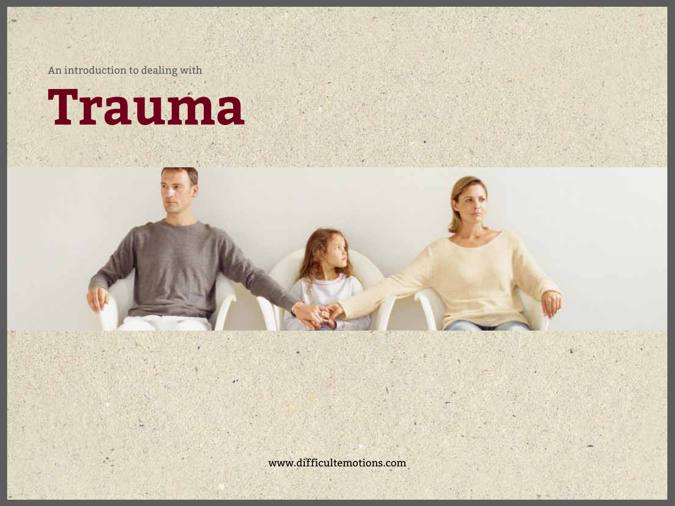An introduction to dealing with

# **Trauma**

www.difficultemotions.com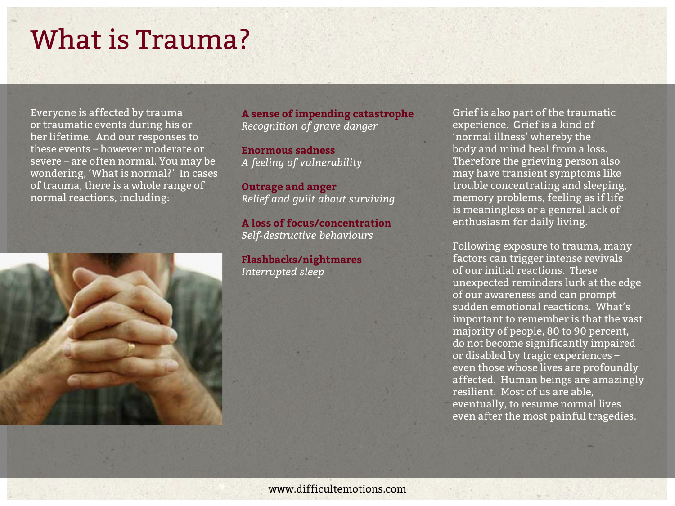### What is Trauma?

Everyone is affected by trauma or traumatic events during his or her lifetime. And our responses to these events – however moderate or severe – are often normal. You may be wondering, 'What is normal?' In cases of trauma, there is a whole range of normal reactions, including:



**A sense of impending catastrophe**  *Recognition of grave danger*

**Enormous sadness**  *A feeling of vulnerability*

**Outrage and anger**  *Relief and guilt about surviving*

**A loss of focus/concentration**  *Self-destructive behaviours*

**Flashbacks/nightmares**  *Interrupted sleep*

Grief is also part of the traumatic experience. Grief is a kind of 'normal illness' whereby the body and mind heal from a loss. Therefore the grieving person also may have transient symptoms like trouble concentrating and sleeping, memory problems, feeling as if life is meaningless or a general lack of enthusiasm for daily living.

Following exposure to trauma, many factors can trigger intense revivals of our initial reactions. These unexpected reminders lurk at the edge of our awareness and can prompt sudden emotional reactions. What's important to remember is that the vast majority of people, 80 to 90 percent, do not become significantly impaired or disabled by tragic experiences – even those whose lives are profoundly affected. Human beings are amazingly resilient. Most of us are able, eventually, to resume normal lives even after the most painful tragedies.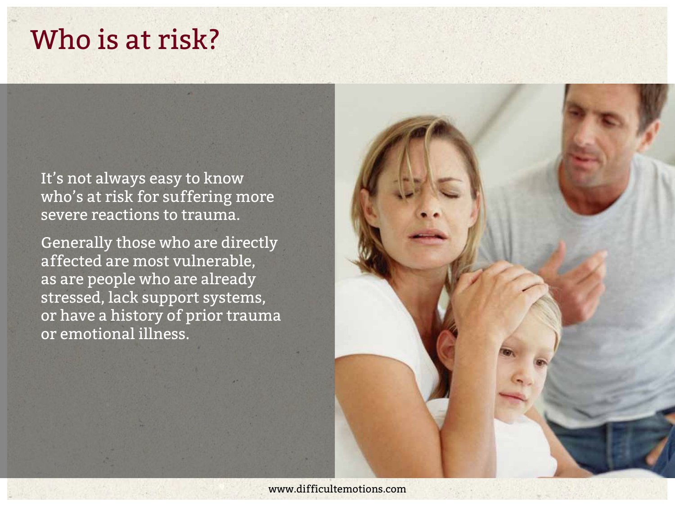#### Who is at risk?

It's not always easy to know who's at risk for suffering more severe reactions to trauma.

Generally those who are directly affected are most vulnerable, as are people who are already stressed, lack support systems, or have a history of prior trauma or emotional illness.

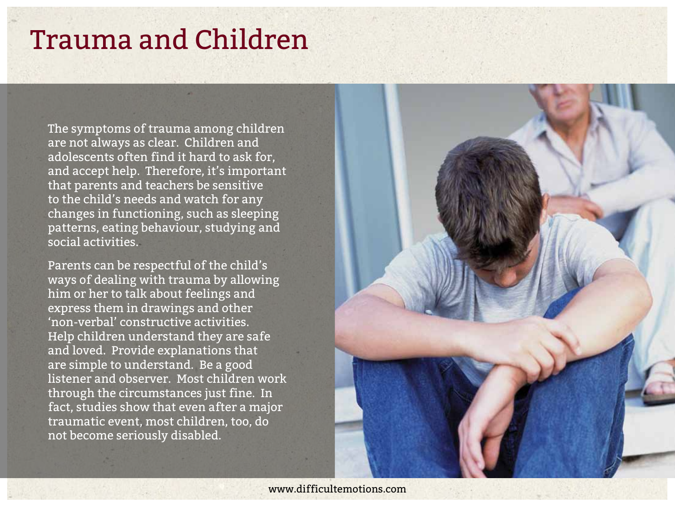#### Trauma and Children

The symptoms of trauma among children are not always as clear. Children and adolescents often find it hard to ask for, and accept help. Therefore, it's important that parents and teachers be sensitive to the child's needs and watch for any changes in functioning, such as sleeping patterns, eating behaviour, studying and social activities.

Parents can be respectful of the child's ways of dealing with trauma by allowing him or her to talk about feelings and express them in drawings and other 'non-verbal' constructive activities. Help children understand they are safe and loved. Provide explanations that are simple to understand. Be a good listener and observer. Most children work through the circumstances just fine. In fact, studies show that even after a major traumatic event, most children, too, do not become seriously disabled.

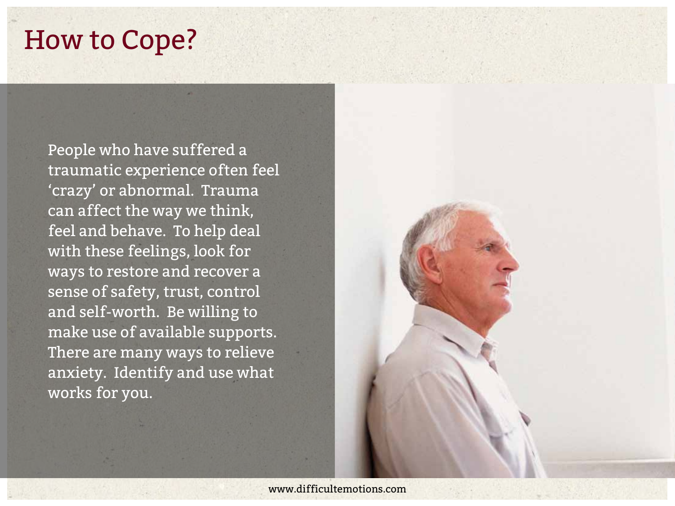#### How to Cope?

People who have suffered a traumatic experience often feel 'crazy' or abnormal. Trauma can affect the way we think, feel and behave. To help deal with these feelings, look for ways to restore and recover a sense of safety, trust, control and self-worth. Be willing to make use of available supports. There are many ways to relieve anxiety. Identify and use what works for you.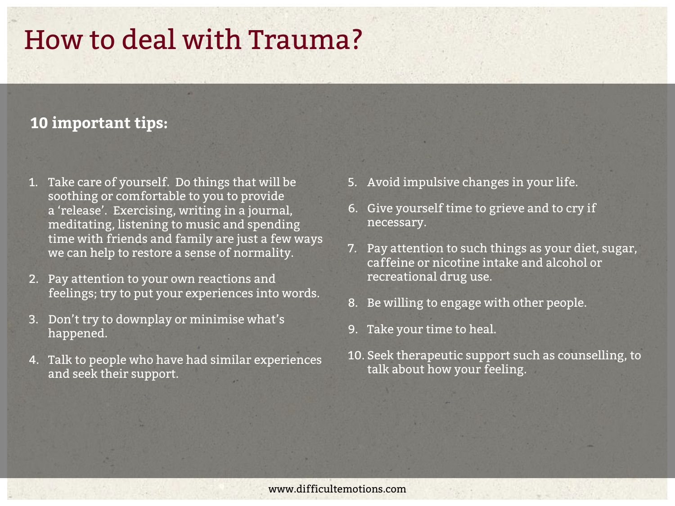## How to deal with Trauma?

#### **10 important tips:**

- 1. Take care of yourself. Do things that will be soothing or comfortable to you to provide a 'release'. Exercising, writing in a journal, meditating, listening to music and spending time with friends and family are just a few ways we can help to restore a sense of normality.
- 2. Pay attention to your own reactions and feelings; try to put your experiences into words.
- 3. Don't try to downplay or minimise what's happened.
- 4. Talk to people who have had similar experiences and seek their support.
- 5. Avoid impulsive changes in your life.
- 6. Give yourself time to grieve and to cry if necessary.
- 7. Pay attention to such things as your diet, sugar, caffeine or nicotine intake and alcohol or recreational drug use.
- 8. Be willing to engage with other people.
- 9. Take your time to heal.
- 10. Seek therapeutic support such as counselling, to talk about how your feeling.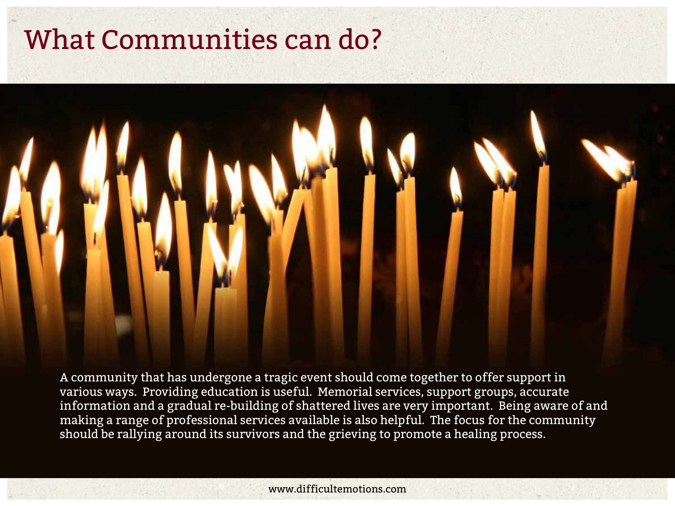### What Communities can do?



A community that has undergone a tragic event should come together to offer support in various ways. Providing education is useful. Memorial services, support groups, accurate information and a gradual re-building of shattered lives are very important. Being aware of and making a range of professional services available is also helpful. The focus for the community should be rallying around its survivors and the grieving to promote a healing process.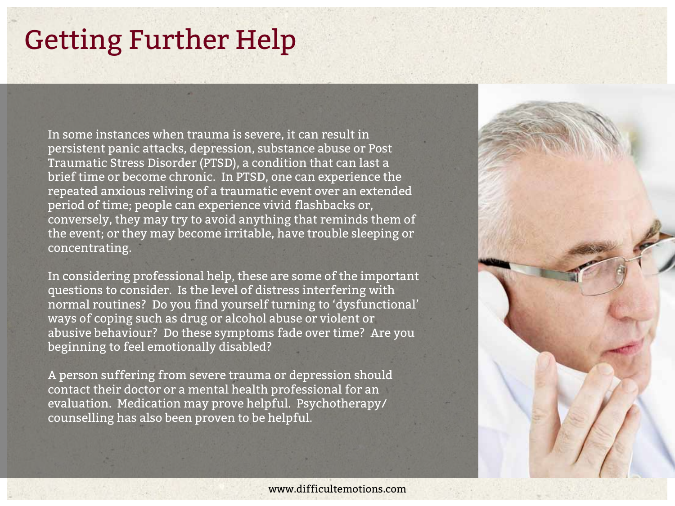# Getting Further Help

In some instances when trauma is severe, it can result in persistent panic attacks, depression, substance abuse or Post Traumatic Stress Disorder (PTSD), a condition that can last a brief time or become chronic. In PTSD, one can experience the repeated anxious reliving of a traumatic event over an extended period of time; people can experience vivid flashbacks or, conversely, they may try to avoid anything that reminds them of the event; or they may become irritable, have trouble sleeping or concentrating.

In considering professional help, these are some of the important questions to consider. Is the level of distress interfering with normal routines? Do you find yourself turning to 'dysfunctional' ways of coping such as drug or alcohol abuse or violent or abusive behaviour? Do these symptoms fade over time? Are you beginning to feel emotionally disabled?

A person suffering from severe trauma or depression should contact their doctor or a mental health professional for an evaluation. Medication may prove helpful. Psychotherapy/ counselling has also been proven to be helpful.

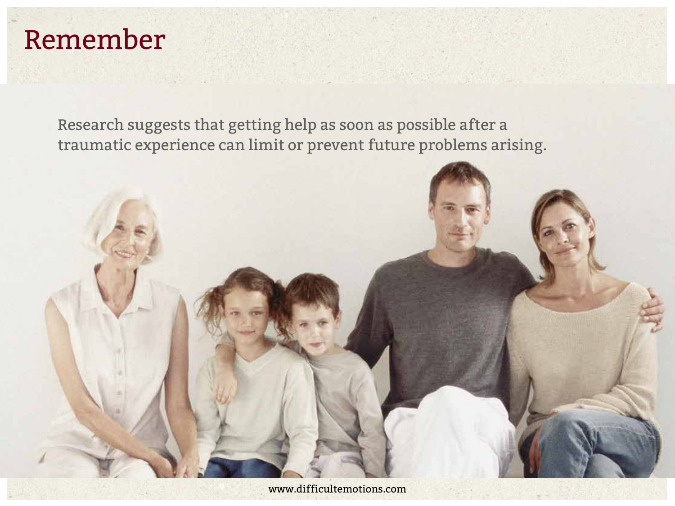## Remember

Research suggests that getting help as soon as possible after a traumatic experience can limit or prevent future problems arising.

**CONTRACT**